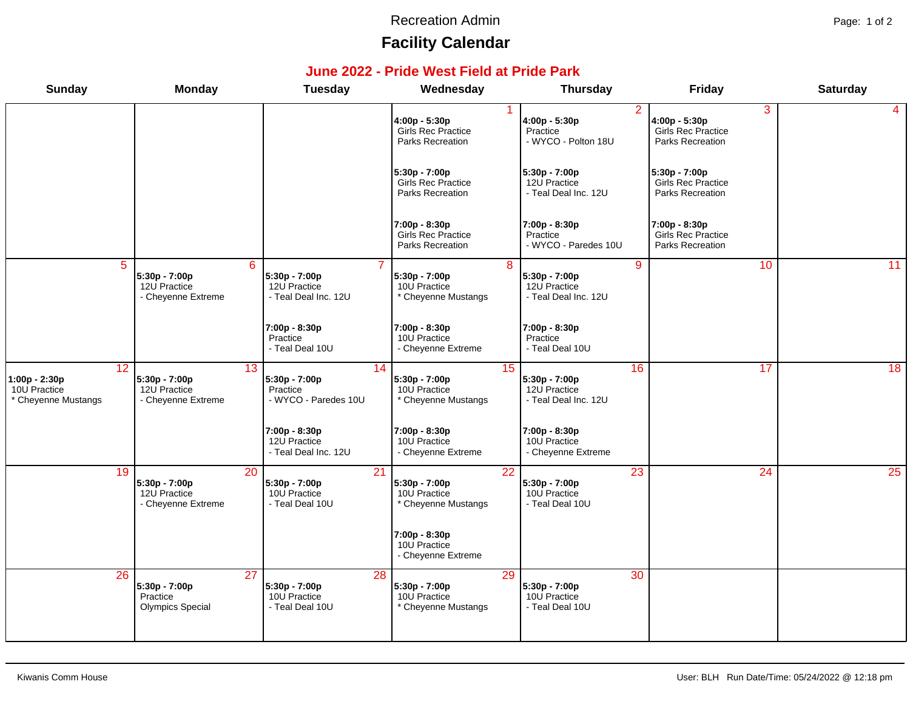#### Recreation Admin **Page: 1 of 2**

# **Facility Calendar**

#### **June 2022 - Pride West Field at Pride Park**

| <b>Sunday</b>                                              | <b>Monday</b>                                                           | <b>Tuesday</b>                                                      | Wednesday                                                      | <b>Thursday</b>                                                         | Friday                                                              | <b>Saturday</b> |
|------------------------------------------------------------|-------------------------------------------------------------------------|---------------------------------------------------------------------|----------------------------------------------------------------|-------------------------------------------------------------------------|---------------------------------------------------------------------|-----------------|
|                                                            |                                                                         |                                                                     | 4:00p - 5:30p<br>Girls Rec Practice<br>Parks Recreation        | $\overline{2}$<br>4:00p - 5:30p<br>Practice<br>- WYCO - Polton 18U      | 3<br>4:00p - 5:30p<br><b>Girls Rec Practice</b><br>Parks Recreation | 4               |
|                                                            |                                                                         |                                                                     | 5:30p - 7:00p<br><b>Girls Rec Practice</b><br>Parks Recreation | 5:30p - 7:00p<br>12U Practice<br>- Teal Deal Inc. 12U                   | $5:30p - 7:00p$<br><b>Girls Rec Practice</b><br>Parks Recreation    |                 |
|                                                            |                                                                         |                                                                     | 7:00p - 8:30p<br><b>Girls Rec Practice</b><br>Parks Recreation | 7:00p - 8:30p<br>Practice<br>- WYCO - Paredes 10U                       | 7:00p - 8:30p<br><b>Girls Rec Practice</b><br>Parks Recreation      |                 |
| $\overline{5}$                                             | 6<br>5:30p - 7:00p<br>12U Practice<br>- Cheyenne Extreme                | $5:30p - 7:00p$<br>12U Practice<br>- Teal Deal Inc. 12U             | 8<br>5:30p - 7:00p<br>10U Practice<br>* Cheyenne Mustangs      | $\overline{9}$<br>5:30p - 7:00p<br>12U Practice<br>- Teal Deal Inc. 12U | 10                                                                  | 11              |
|                                                            |                                                                         | 7:00p - 8:30p<br>Practice<br>- Teal Deal 10U                        | 7:00p - 8:30p<br>10U Practice<br>- Cheyenne Extreme            | 7:00p - 8:30p<br>Practice<br>- Teal Deal 10U                            |                                                                     |                 |
| 12<br>1:00p - 2:30p<br>10U Practice<br>* Cheyenne Mustangs | 13<br>5:30p - 7:00p<br>12U Practice<br>- Cheyenne Extreme               | 14<br>5:30p - 7:00p<br>Practice<br>- WYCO - Paredes 10U             | 15<br>5:30p - 7:00p<br>10U Practice<br>* Cheyenne Mustangs     | 16<br>5:30p - 7:00p<br>12U Practice<br>- Teal Deal Inc. 12U             | 17                                                                  | 18              |
|                                                            |                                                                         | 7:00p - 8:30p<br>12U Practice<br>- Teal Deal Inc. 12U               | 7:00p - 8:30p<br>10U Practice<br>- Cheyenne Extreme            | 7:00p - 8:30p<br>10U Practice<br>- Cheyenne Extreme                     |                                                                     |                 |
| 19                                                         | 20<br>5:30p - 7:00p<br>12U Practice<br>- Cheyenne Extreme               | 21<br>5:30p - 7:00p<br>10U Practice<br>- Teal Deal 10U              | 22<br>5:30p - 7:00p<br>10U Practice<br>* Cheyenne Mustangs     | 23<br>5:30p - 7:00p<br>10U Practice<br>- Teal Deal 10U                  | 24                                                                  | 25              |
|                                                            |                                                                         |                                                                     | 7:00p - 8:30p<br>10U Practice<br>- Cheyenne Extreme            |                                                                         |                                                                     |                 |
| $\overline{26}$                                            | $\overline{27}$<br>5:30p - 7:00p<br>Practice<br><b>Olympics Special</b> | $\overline{28}$<br>5:30p - 7:00p<br>10U Practice<br>- Teal Deal 10U | 29<br>5:30p - 7:00p<br>10U Practice<br>* Cheyenne Mustangs     | $\overline{30}$<br>$5:30p - 7:00p$<br>10U Practice<br>- Teal Deal 10U   |                                                                     |                 |